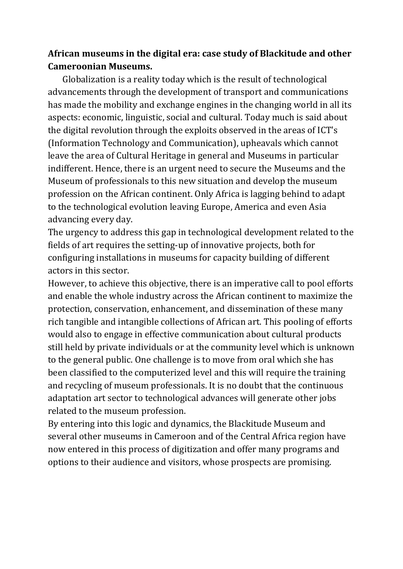# **African museums in the digital era: case study of Blackitude and other Cameroonian Museums.**

 Globalization is a reality today which is the result of technological advancements through the development of transport and communications has made the mobility and exchange engines in the changing world in all its aspects: economic, linguistic, social and cultural. Today much is said about the digital revolution through the exploits observed in the areas of ICT's (Information Technology and Communication), upheavals which cannot leave the area of Cultural Heritage in general and Museums in particular indifferent. Hence, there is an urgent need to secure the Museums and the Museum of professionals to this new situation and develop the museum profession on the African continent. Only Africa is lagging behind to adapt to the technological evolution leaving Europe, America and even Asia advancing every day.

The urgency to address this gap in technological development related to the fields of art requires the setting-up of innovative projects, both for configuring installations in museums for capacity building of different actors in this sector.

However, to achieve this objective, there is an imperative call to pool efforts and enable the whole industry across the African continent to maximize the protection, conservation, enhancement, and dissemination of these many rich tangible and intangible collections of African art. This pooling of efforts would also to engage in effective communication about cultural products still held by private individuals or at the community level which is unknown to the general public. One challenge is to move from oral which she has been classified to the computerized level and this will require the training and recycling of museum professionals. It is no doubt that the continuous adaptation art sector to technological advances will generate other jobs related to the museum profession.

By entering into this logic and dynamics, the Blackitude Museum and several other museums in Cameroon and of the Central Africa region have now entered in this process of digitization and offer many programs and options to their audience and visitors, whose prospects are promising.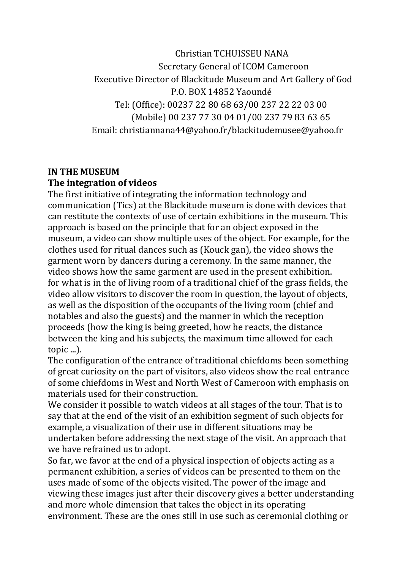Christian TCHUISSEU NANA Secretary General of ICOM Cameroon Executive Director of Blackitude Museum and Art Gallery of God P.O. BOX 14852 Yaoundé Tel: (Office): 00237 22 80 68 63/00 237 22 22 03 00 (Mobile) 00 237 77 30 04 01/00 237 79 83 63 65 Email: christiannana44@yahoo.fr/blackitudemusee@yahoo.fr

#### **IN THE MUSEUM The integration of videos**

The first initiative of integrating the information technology and communication (Tics) at the Blackitude museum is done with devices that can restitute the contexts of use of certain exhibitions in the museum. This approach is based on the principle that for an object exposed in the museum, a video can show multiple uses of the object. For example, for the clothes used for ritual dances such as (Kouck gan), the video shows the garment worn by dancers during a ceremony. In the same manner, the video shows how the same garment are used in the present exhibition. for what is in the of living room of a traditional chief of the grass fields, the video allow visitors to discover the room in question, the layout of objects, as well as the disposition of the occupants of the living room (chief and notables and also the guests) and the manner in which the reception proceeds (how the king is being greeted, how he reacts, the distance between the king and his subjects, the maximum time allowed for each topic ...).

The configuration of the entrance of traditional chiefdoms been something of great curiosity on the part of visitors, also videos show the real entrance of some chiefdoms in West and North West of Cameroon with emphasis on materials used for their construction.

We consider it possible to watch videos at all stages of the tour. That is to say that at the end of the visit of an exhibition segment of such objects for example, a visualization of their use in different situations may be undertaken before addressing the next stage of the visit. An approach that we have refrained us to adopt.

So far, we favor at the end of a physical inspection of objects acting as a permanent exhibition, a series of videos can be presented to them on the uses made of some of the objects visited. The power of the image and viewing these images just after their discovery gives a better understanding and more whole dimension that takes the object in its operating environment. These are the ones still in use such as ceremonial clothing or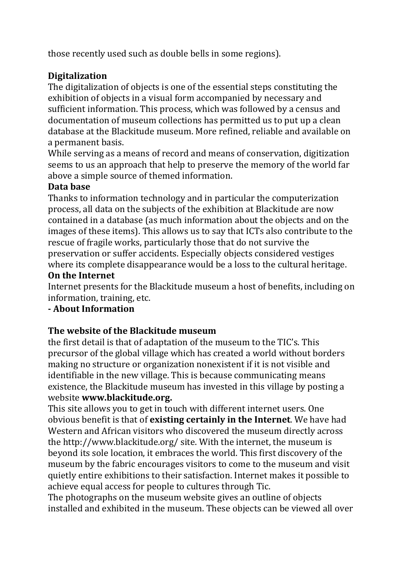those recently used such as double bells in some regions).

# **Digitalization**

The digitalization of objects is one of the essential steps constituting the exhibition of objects in a visual form accompanied by necessary and sufficient information. This process, which was followed by a census and documentation of museum collections has permitted us to put up a clean database at the Blackitude museum. More refined, reliable and available on a permanent basis.

While serving as a means of record and means of conservation, digitization seems to us an approach that help to preserve the memory of the world far above a simple source of themed information.

## **Data base**

Thanks to information technology and in particular the computerization process, all data on the subjects of the exhibition at Blackitude are now contained in a database (as much information about the objects and on the images of these items). This allows us to say that ICTs also contribute to the rescue of fragile works, particularly those that do not survive the preservation or suffer accidents. Especially objects considered vestiges where its complete disappearance would be a loss to the cultural heritage.

### **On the Internet**

Internet presents for the Blackitude museum a host of benefits, including on information, training, etc.

## **- About Information**

## **The website of the Blackitude museum**

the first detail is that of adaptation of the museum to the TIC's. This precursor of the global village which has created a world without borders making no structure or organization nonexistent if it is not visible and identifiable in the new village. This is because communicating means existence, the Blackitude museum has invested in this village by posting a website **www.blackitude.org.** 

This site allows you to get in touch with different internet users. One obvious benefit is that of **existing certainly in the Internet**. We have had Western and African visitors who discovered the museum directly across the http://www.blackitude.org/ site. With the internet, the museum is beyond its sole location, it embraces the world. This first discovery of the museum by the fabric encourages visitors to come to the museum and visit quietly entire exhibitions to their satisfaction. Internet makes it possible to achieve equal access for people to cultures through Tic.

The photographs on the museum website gives an outline of objects installed and exhibited in the museum. These objects can be viewed all over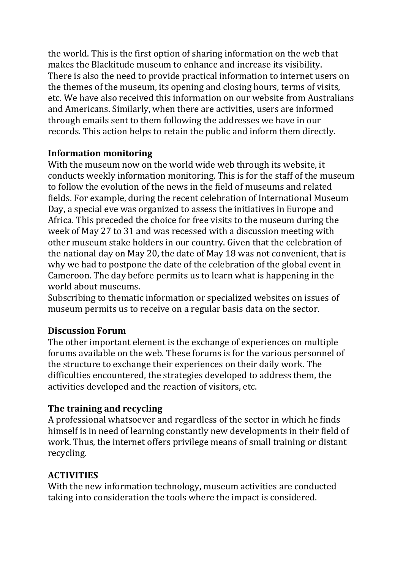the world. This is the first option of sharing information on the web that makes the Blackitude museum to enhance and increase its visibility. There is also the need to provide practical information to internet users on the themes of the museum, its opening and closing hours, terms of visits, etc. We have also received this information on our website from Australians and Americans. Similarly, when there are activities, users are informed through emails sent to them following the addresses we have in our records. This action helps to retain the public and inform them directly.

### **Information monitoring**

With the museum now on the world wide web through its website, it conducts weekly information monitoring. This is for the staff of the museum to follow the evolution of the news in the field of museums and related fields. For example, during the recent celebration of International Museum Day, a special eve was organized to assess the initiatives in Europe and Africa. This preceded the choice for free visits to the museum during the week of May 27 to 31 and was recessed with a discussion meeting with other museum stake holders in our country. Given that the celebration of the national day on May 20, the date of May 18 was not convenient, that is why we had to postpone the date of the celebration of the global event in Cameroon. The day before permits us to learn what is happening in the world about museums.

Subscribing to thematic information or specialized websites on issues of museum permits us to receive on a regular basis data on the sector.

## **Discussion Forum**

The other important element is the exchange of experiences on multiple forums available on the web. These forums is for the various personnel of the structure to exchange their experiences on their daily work. The difficulties encountered, the strategies developed to address them, the activities developed and the reaction of visitors, etc.

## **The training and recycling**

A professional whatsoever and regardless of the sector in which he finds himself is in need of learning constantly new developments in their field of work. Thus, the internet offers privilege means of small training or distant recycling.

## **ACTIVITIES**

With the new information technology, museum activities are conducted taking into consideration the tools where the impact is considered.